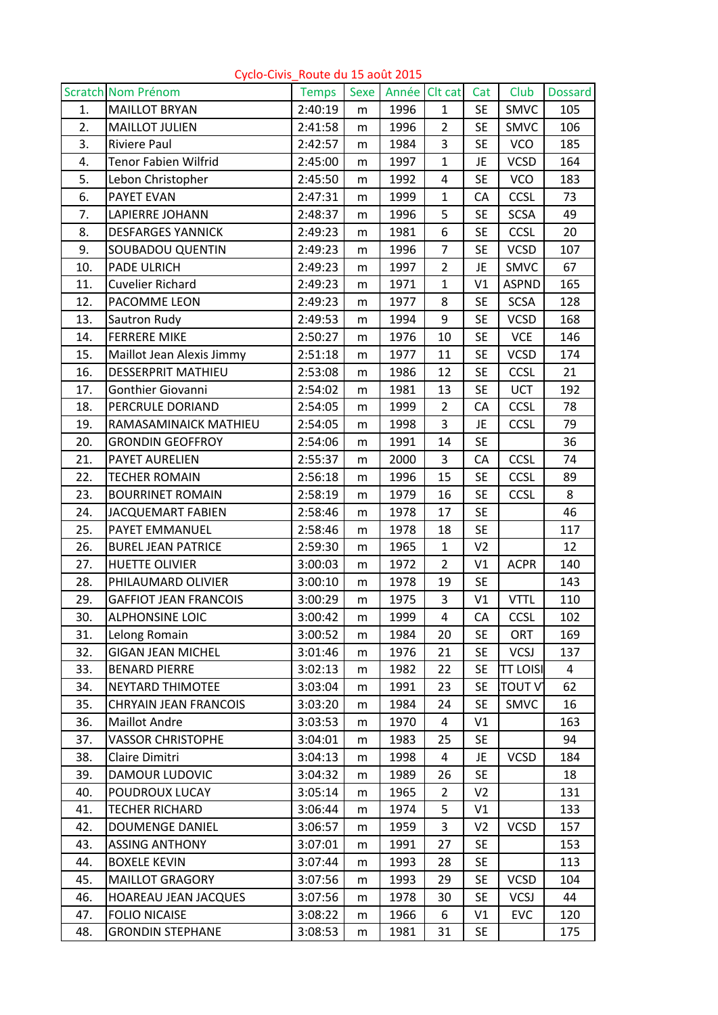|     | <b>Scratch Nom Prénom</b>    | <b>Temps</b> | <b>Sexe</b> | Année Clt cat |                | Cat            | Club            | <b>Dossard</b> |
|-----|------------------------------|--------------|-------------|---------------|----------------|----------------|-----------------|----------------|
| 1.  | <b>MAILLOT BRYAN</b>         | 2:40:19      | m           | 1996          | $\mathbf{1}$   | <b>SE</b>      | <b>SMVC</b>     | 105            |
| 2.  | <b>MAILLOT JULIEN</b>        | 2:41:58      | m           | 1996          | $\overline{2}$ | <b>SE</b>      | <b>SMVC</b>     | 106            |
| 3.  | <b>Riviere Paul</b>          | 2:42:57      | m           | 1984          | 3              | <b>SE</b>      | <b>VCO</b>      | 185            |
| 4.  | <b>Tenor Fabien Wilfrid</b>  | 2:45:00      | m           | 1997          | $\mathbf{1}$   | JE             | <b>VCSD</b>     | 164            |
| 5.  | Lebon Christopher            | 2:45:50      | m           | 1992          | 4              | <b>SE</b>      | <b>VCO</b>      | 183            |
| 6.  | PAYET EVAN                   | 2:47:31      | m           | 1999          | $\mathbf{1}$   | CA             | <b>CCSL</b>     | 73             |
| 7.  | <b>LAPIERRE JOHANN</b>       | 2:48:37      | m           | 1996          | 5              | <b>SE</b>      | <b>SCSA</b>     | 49             |
| 8.  | <b>DESFARGES YANNICK</b>     | 2:49:23      | m           | 1981          | 6              | <b>SE</b>      | <b>CCSL</b>     | 20             |
| 9.  | SOUBADOU QUENTIN             | 2:49:23      | m           | 1996          | $\overline{7}$ | <b>SE</b>      | <b>VCSD</b>     | 107            |
| 10. | PADE ULRICH                  | 2:49:23      | m           | 1997          | $\overline{2}$ | JE             | <b>SMVC</b>     | 67             |
| 11. | <b>Cuvelier Richard</b>      | 2:49:23      | m           | 1971          | $\mathbf{1}$   | V <sub>1</sub> | <b>ASPND</b>    | 165            |
| 12. | PACOMME LEON                 | 2:49:23      | m           | 1977          | 8              | <b>SE</b>      | <b>SCSA</b>     | 128            |
| 13. | Sautron Rudy                 | 2:49:53      | m           | 1994          | 9              | <b>SE</b>      | <b>VCSD</b>     | 168            |
| 14. | <b>FERRERE MIKE</b>          | 2:50:27      | m           | 1976          | 10             | <b>SE</b>      | <b>VCE</b>      | 146            |
| 15. | Maillot Jean Alexis Jimmy    | 2:51:18      | m           | 1977          | 11             | <b>SE</b>      | <b>VCSD</b>     | 174            |
| 16. | <b>DESSERPRIT MATHIEU</b>    | 2:53:08      | m           | 1986          | 12             | <b>SE</b>      | <b>CCSL</b>     | 21             |
| 17. | Gonthier Giovanni            | 2:54:02      | m           | 1981          | 13             | <b>SE</b>      | <b>UCT</b>      | 192            |
| 18. | PERCRULE DORIAND             | 2:54:05      | m           | 1999          | $\overline{2}$ | CA             | <b>CCSL</b>     | 78             |
| 19. | RAMASAMINAICK MATHIEU        | 2:54:05      | m           | 1998          | 3              | JE             | <b>CCSL</b>     | 79             |
| 20. | <b>GRONDIN GEOFFROY</b>      | 2:54:06      | m           | 1991          | 14             | <b>SE</b>      |                 | 36             |
| 21. | PAYET AURELIEN               | 2:55:37      | m           | 2000          | 3              | CA             | <b>CCSL</b>     | 74             |
| 22. | <b>TECHER ROMAIN</b>         | 2:56:18      | m           | 1996          | 15             | <b>SE</b>      | <b>CCSL</b>     | 89             |
| 23. | <b>BOURRINET ROMAIN</b>      | 2:58:19      | m           | 1979          | 16             | <b>SE</b>      | <b>CCSL</b>     | 8              |
| 24. | <b>JACQUEMART FABIEN</b>     | 2:58:46      | m           | 1978          | 17             | <b>SE</b>      |                 | 46             |
| 25. | PAYET EMMANUEL               | 2:58:46      | m           | 1978          | 18             | <b>SE</b>      |                 | 117            |
| 26. | <b>BUREL JEAN PATRICE</b>    | 2:59:30      | m           | 1965          | $\mathbf{1}$   | V <sub>2</sub> |                 | 12             |
| 27. | <b>HUETTE OLIVIER</b>        | 3:00:03      | m           | 1972          | $\overline{2}$ | V1             | <b>ACPR</b>     | 140            |
| 28. | PHILAUMARD OLIVIER           | 3:00:10      | m           | 1978          | 19             | <b>SE</b>      |                 | 143            |
| 29. | <b>GAFFIOT JEAN FRANCOIS</b> | 3:00:29      | m           | 1975          | 3              | V1             | <b>VTTL</b>     | 110            |
| 30. | <b>ALPHONSINE LOIC</b>       | 3:00:42      | m           | 1999          | 4              | CA             | <b>CCSL</b>     | 102            |
| 31. | Lelong Romain                | 3:00:52      | m           | 1984          | 20             | <b>SE</b>      | <b>ORT</b>      | 169            |
| 32. | <b>GIGAN JEAN MICHEL</b>     | 3:01:46      | m           | 1976          | 21             | <b>SE</b>      | <b>VCSJ</b>     | 137            |
| 33. | <b>BENARD PIERRE</b>         | 3:02:13      | m           | 1982          | 22             | <b>SE</b>      | <b>TT LOISI</b> | 4              |
| 34. | NEYTARD THIMOTEE             | 3:03:04      | m           | 1991          | 23             | <b>SE</b>      | <b>TOUT V</b>   | 62             |
| 35. | <b>CHRYAIN JEAN FRANCOIS</b> | 3:03:20      | m           | 1984          | 24             | <b>SE</b>      | SMVC            | 16             |
| 36. | <b>Maillot Andre</b>         | 3:03:53      | m           | 1970          | 4              | V <sub>1</sub> |                 | 163            |
| 37. | <b>VASSOR CHRISTOPHE</b>     | 3:04:01      | m           | 1983          | 25             | <b>SE</b>      |                 | 94             |
| 38. | Claire Dimitri               | 3:04:13      | m           | 1998          | 4              | JE             | <b>VCSD</b>     | 184            |
| 39. | DAMOUR LUDOVIC               | 3:04:32      | m           | 1989          | 26             | <b>SE</b>      |                 | 18             |
| 40. | POUDROUX LUCAY               | 3:05:14      | m           | 1965          | $\overline{2}$ | V <sub>2</sub> |                 | 131            |
| 41. | <b>TECHER RICHARD</b>        | 3:06:44      | m           | 1974          | 5              | V1             |                 | 133            |
| 42. | <b>DOUMENGE DANIEL</b>       | 3:06:57      | m           | 1959          | 3              | V <sub>2</sub> | <b>VCSD</b>     | 157            |
| 43. | <b>ASSING ANTHONY</b>        | 3:07:01      | m           | 1991          | 27             | <b>SE</b>      |                 | 153            |
| 44. | <b>BOXELE KEVIN</b>          | 3:07:44      | m           | 1993          | 28             | <b>SE</b>      |                 | 113            |
| 45. | <b>MAILLOT GRAGORY</b>       | 3:07:56      | m           | 1993          | 29             | <b>SE</b>      | <b>VCSD</b>     | 104            |
| 46. | <b>HOAREAU JEAN JACQUES</b>  | 3:07:56      | m           | 1978          | 30             | <b>SE</b>      | <b>VCSJ</b>     | 44             |
| 47. | <b>FOLIO NICAISE</b>         | 3:08:22      | m           | 1966          | 6              | V1             | <b>EVC</b>      | 120            |
| 48. | <b>GRONDIN STEPHANE</b>      | 3:08:53      | m           | 1981          | 31             | <b>SE</b>      |                 | 175            |

Cyclo‐Civis\_Route du 15 août 2015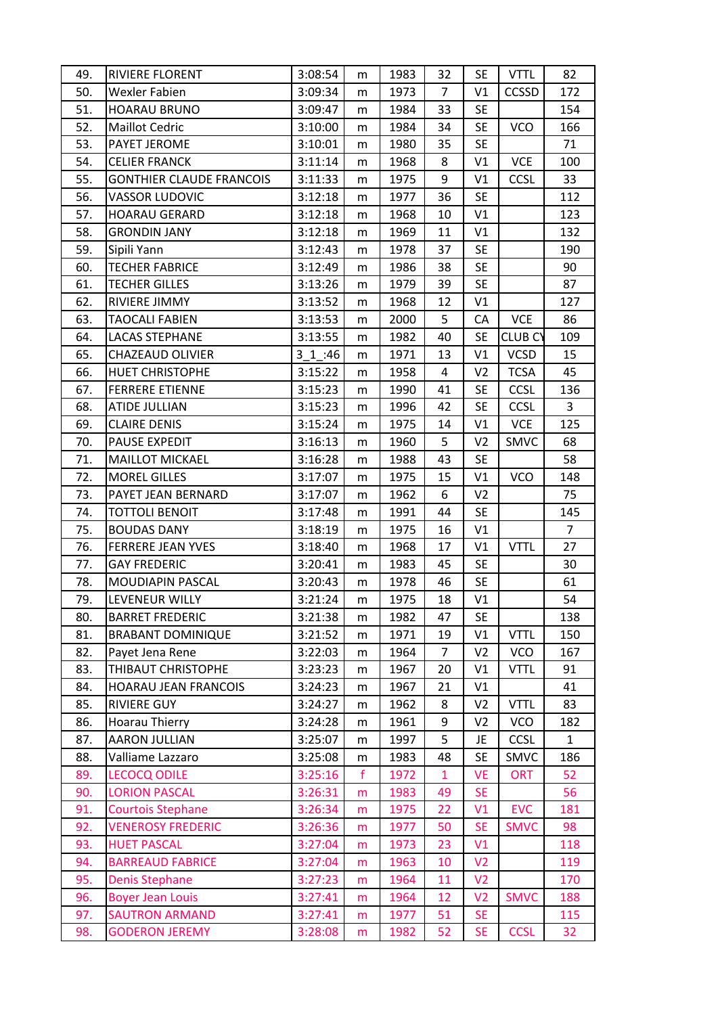| 49. | RIVIERE FLORENT                 | 3:08:54 | m           | 1983 | 32             | <b>SE</b>      | <b>VTTL</b>    | 82             |
|-----|---------------------------------|---------|-------------|------|----------------|----------------|----------------|----------------|
| 50. | <b>Wexler Fabien</b>            | 3:09:34 | m           | 1973 | $\overline{7}$ | V1             | <b>CCSSD</b>   | 172            |
| 51. | <b>HOARAU BRUNO</b>             | 3:09:47 | m           | 1984 | 33             | <b>SE</b>      |                | 154            |
| 52. | <b>Maillot Cedric</b>           | 3:10:00 | m           | 1984 | 34             | <b>SE</b>      | <b>VCO</b>     | 166            |
| 53. | PAYET JEROME                    | 3:10:01 | m           | 1980 | 35             | <b>SE</b>      |                | 71             |
| 54. | <b>CELIER FRANCK</b>            | 3:11:14 | m           | 1968 | 8              | V1             | VCE            | 100            |
| 55. | <b>GONTHIER CLAUDE FRANCOIS</b> | 3:11:33 | m           | 1975 | 9              | V <sub>1</sub> | <b>CCSL</b>    | 33             |
| 56. | <b>VASSOR LUDOVIC</b>           | 3:12:18 | m           | 1977 | 36             | <b>SE</b>      |                | 112            |
| 57. | <b>HOARAU GERARD</b>            | 3:12:18 | m           | 1968 | 10             | V1             |                | 123            |
| 58. | <b>GRONDIN JANY</b>             | 3:12:18 | m           | 1969 | 11             | V1             |                | 132            |
| 59. | Sipili Yann                     | 3:12:43 | m           | 1978 | 37             | <b>SE</b>      |                | 190            |
| 60. | <b>TECHER FABRICE</b>           | 3:12:49 | m           | 1986 | 38             | <b>SE</b>      |                | 90             |
| 61. | <b>TECHER GILLES</b>            | 3:13:26 | m           | 1979 | 39             | <b>SE</b>      |                | 87             |
| 62. | <b>RIVIERE JIMMY</b>            | 3:13:52 | m           | 1968 | 12             | V1             |                | 127            |
| 63. | <b>TAOCALI FABIEN</b>           | 3:13:53 | m           | 2000 | 5              | CA             | <b>VCE</b>     | 86             |
| 64. | <b>LACAS STEPHANE</b>           | 3:13:55 | m           | 1982 | 40             | <b>SE</b>      | <b>CLUB CY</b> | 109            |
| 65. | <b>CHAZEAUD OLIVIER</b>         | 3 1 :46 | m           | 1971 | 13             | V <sub>1</sub> | <b>VCSD</b>    | 15             |
| 66. | <b>HUET CHRISTOPHE</b>          | 3:15:22 | m           | 1958 | $\overline{a}$ | V <sub>2</sub> | <b>TCSA</b>    | 45             |
| 67. | <b>FERRERE ETIENNE</b>          | 3:15:23 | m           | 1990 | 41             | <b>SE</b>      | <b>CCSL</b>    | 136            |
| 68. | ATIDE JULLIAN                   | 3:15:23 | m           | 1996 | 42             | <b>SE</b>      | <b>CCSL</b>    | 3              |
| 69. | <b>CLAIRE DENIS</b>             | 3:15:24 | m           | 1975 | 14             | V1             | <b>VCE</b>     | 125            |
| 70. | <b>PAUSE EXPEDIT</b>            | 3:16:13 | m           | 1960 | 5              | V <sub>2</sub> | <b>SMVC</b>    | 68             |
| 71. | <b>MAILLOT MICKAEL</b>          | 3:16:28 | m           | 1988 | 43             | <b>SE</b>      |                | 58             |
| 72. | <b>MOREL GILLES</b>             | 3:17:07 | m           | 1975 | 15             | V1             | <b>VCO</b>     | 148            |
| 73. | PAYET JEAN BERNARD              | 3:17:07 | m           | 1962 | 6              | V <sub>2</sub> |                | 75             |
| 74. | <b>TOTTOLI BENOIT</b>           | 3:17:48 | m           | 1991 | 44             | <b>SE</b>      |                | 145            |
| 75. | <b>BOUDAS DANY</b>              | 3:18:19 | m           | 1975 | 16             | V1             |                | $\overline{7}$ |
| 76. | <b>FERRERE JEAN YVES</b>        | 3:18:40 | m           | 1968 | 17             | V1             | <b>VTTL</b>    | 27             |
| 77. | <b>GAY FREDERIC</b>             | 3:20:41 | m           | 1983 | 45             | <b>SE</b>      |                | 30             |
| 78. | MOUDIAPIN PASCAL                | 3:20:43 | m           | 1978 | 46             | <b>SE</b>      |                | 61             |
| 79. | LEVENEUR WILLY                  | 3:21:24 | m           | 1975 | 18             | V1             |                | 54             |
| 80. | <b>BARRET FREDERIC</b>          | 3:21:38 | m           | 1982 | 47             | <b>SE</b>      |                | 138            |
| 81. | <b>BRABANT DOMINIQUE</b>        | 3:21:52 | m           | 1971 | 19             | V1             | <b>VTTL</b>    | 150            |
| 82. | Payet Jena Rene                 | 3:22:03 | m           | 1964 | 7              | V <sub>2</sub> | <b>VCO</b>     | 167            |
| 83. | THIBAUT CHRISTOPHE              | 3:23:23 | m           | 1967 | 20             | V1             | <b>VTTL</b>    | 91             |
| 84. | <b>HOARAU JEAN FRANCOIS</b>     | 3:24:23 | m           | 1967 | 21             | V1             |                | 41             |
| 85. | <b>RIVIERE GUY</b>              | 3:24:27 | m           | 1962 | 8              | V <sub>2</sub> | <b>VTTL</b>    | 83             |
| 86. | Hoarau Thierry                  | 3:24:28 | m           | 1961 | 9              | V <sub>2</sub> | <b>VCO</b>     | 182            |
| 87. | <b>AARON JULLIAN</b>            | 3:25:07 | m           | 1997 | 5              | JE             | <b>CCSL</b>    | $\mathbf{1}$   |
| 88. | Valliame Lazzaro                | 3:25:08 | m           | 1983 | 48             | <b>SE</b>      | SMVC           | 186            |
| 89. | <b>LECOCQ ODILE</b>             | 3:25:16 | $\mathbf f$ | 1972 | $\mathbf{1}$   | <b>VE</b>      | <b>ORT</b>     | 52             |
| 90. | <b>LORION PASCAL</b>            | 3:26:31 | m           | 1983 | 49             | <b>SE</b>      |                | 56             |
| 91. | <b>Courtois Stephane</b>        | 3:26:34 | m           | 1975 | 22             | V1             | <b>EVC</b>     | 181            |
| 92. | <b>VENEROSY FREDERIC</b>        | 3:26:36 | m           | 1977 | 50             | <b>SE</b>      | <b>SMVC</b>    | 98             |
| 93. | <b>HUET PASCAL</b>              | 3:27:04 | m           | 1973 | 23             | V1             |                | 118            |
| 94. | <b>BARREAUD FABRICE</b>         | 3:27:04 | m           | 1963 | 10             | V <sub>2</sub> |                | 119            |
| 95. | <b>Denis Stephane</b>           | 3:27:23 | m           | 1964 | 11             | V <sub>2</sub> |                | 170            |
| 96. | <b>Boyer Jean Louis</b>         | 3:27:41 | m           | 1964 | 12             | V <sub>2</sub> | <b>SMVC</b>    | 188            |
| 97. | <b>SAUTRON ARMAND</b>           | 3:27:41 | m           | 1977 | 51             | <b>SE</b>      |                | 115            |
| 98. | <b>GODERON JEREMY</b>           | 3:28:08 | m           | 1982 | 52             | <b>SE</b>      | <b>CCSL</b>    | 32             |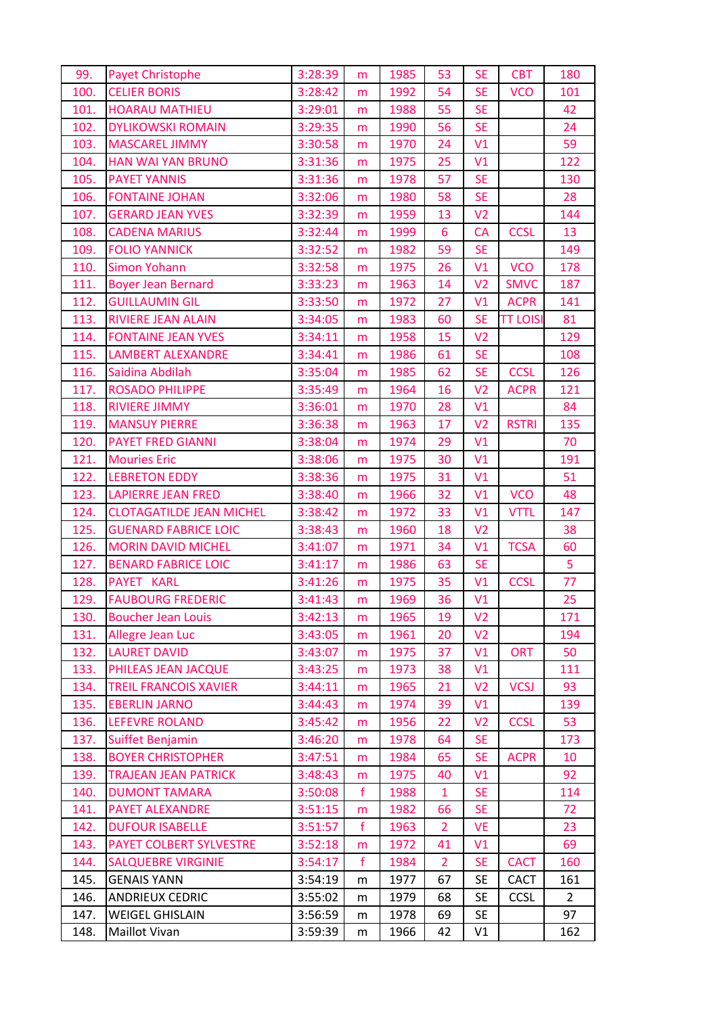| 99.  | <b>Payet Christophe</b>         | 3:28:39 | m            | 1985 | 53             | <b>SE</b>      | <b>CBT</b>      | 180            |
|------|---------------------------------|---------|--------------|------|----------------|----------------|-----------------|----------------|
| 100. | <b>CELIER BORIS</b>             | 3:28:42 | m            | 1992 | 54             | <b>SE</b>      | <b>VCO</b>      | 101            |
| 101. | <b>HOARAU MATHIEU</b>           | 3:29:01 | m            | 1988 | 55             | <b>SE</b>      |                 | 42             |
| 102. | <b>DYLIKOWSKI ROMAIN</b>        | 3:29:35 | m            | 1990 | 56             | <b>SE</b>      |                 | 24             |
| 103. | <b>MASCAREL JIMMY</b>           | 3:30:58 | m            | 1970 | 24             | V1             |                 | 59             |
| 104. | <b>HAN WAI YAN BRUNO</b>        | 3:31:36 | m            | 1975 | 25             | V1             |                 | 122            |
| 105. | <b>PAYET YANNIS</b>             | 3:31:36 | m            | 1978 | 57             | <b>SE</b>      |                 | 130            |
| 106. | <b>FONTAINE JOHAN</b>           | 3:32:06 | m            | 1980 | 58             | <b>SE</b>      |                 | 28             |
| 107. | <b>GERARD JEAN YVES</b>         | 3:32:39 | m            | 1959 | 13             | V <sub>2</sub> |                 | 144            |
| 108. | <b>CADENA MARIUS</b>            | 3:32:44 | m            | 1999 | 6              | <b>CA</b>      | <b>CCSL</b>     | 13             |
| 109. | <b>FOLIO YANNICK</b>            | 3:32:52 | m            | 1982 | 59             | <b>SE</b>      |                 | 149            |
| 110. | <b>Simon Yohann</b>             | 3:32:58 | m            | 1975 | 26             | V1             | <b>VCO</b>      | 178            |
| 111. | <b>Boyer Jean Bernard</b>       | 3:33:23 | m            | 1963 | 14             | V <sub>2</sub> | <b>SMVC</b>     | 187            |
| 112. | <b>GUILLAUMIN GIL</b>           | 3:33:50 | m            | 1972 | 27             | V1             | <b>ACPR</b>     | 141            |
| 113. | <b>RIVIERE JEAN ALAIN</b>       | 3:34:05 | m            | 1983 | 60             | <b>SE</b>      | <b>TT LOISI</b> | 81             |
| 114. | <b>FONTAINE JEAN YVES</b>       | 3:34:11 | m            | 1958 | 15             | V <sub>2</sub> |                 | 129            |
| 115. | <b>LAMBERT ALEXANDRE</b>        | 3:34:41 | m            | 1986 | 61             | <b>SE</b>      |                 | 108            |
| 116. | Saidina Abdilah                 | 3:35:04 | m            | 1985 | 62             | <b>SE</b>      | <b>CCSL</b>     | 126            |
| 117. | <b>ROSADO PHILIPPE</b>          | 3:35:49 | m            | 1964 | 16             | V <sub>2</sub> | <b>ACPR</b>     | 121            |
| 118. | <b>RIVIERE JIMMY</b>            | 3:36:01 | m            | 1970 | 28             | V1             |                 | 84             |
| 119. | <b>MANSUY PIERRE</b>            | 3:36:38 | m            | 1963 | 17             | V <sub>2</sub> | <b>RSTRI</b>    | 135            |
| 120. | <b>PAYET FRED GIANNI</b>        | 3:38:04 | m            | 1974 | 29             | V1             |                 | 70             |
| 121. | <b>Mouries Eric</b>             | 3:38:06 | m            | 1975 | 30             | V1             |                 | 191            |
| 122. | <b>LEBRETON EDDY</b>            | 3:38:36 | m            | 1975 | 31             | V1             |                 | 51             |
| 123. | <b>LAPIERRE JEAN FRED</b>       | 3:38:40 | m            | 1966 | 32             | V1             | <b>VCO</b>      | 48             |
| 124. | <b>CLOTAGATILDE JEAN MICHEL</b> | 3:38:42 | m            | 1972 | 33             | V1             | <b>VTTL</b>     | 147            |
| 125. | <b>GUENARD FABRICE LOIC</b>     | 3:38:43 | m            | 1960 | 18             | V <sub>2</sub> |                 | 38             |
| 126. | <b>MORIN DAVID MICHEL</b>       | 3:41:07 | m            | 1971 | 34             | V1             | <b>TCSA</b>     | 60             |
| 127. | <b>BENARD FABRICE LOIC</b>      | 3:41:17 | m            | 1986 | 63             | <b>SE</b>      |                 | 5              |
| 128. | PAYET KARL                      | 3:41:26 | m            | 1975 | 35             | V1             | <b>CCSL</b>     | 77             |
| 129. | <b>FAUBOURG FREDERIC</b>        | 3:41:43 | m            | 1969 | 36             | V1             |                 | 25             |
| 130. | <b>Boucher Jean Louis</b>       | 3:42:13 | m            | 1965 | 19             | V <sub>2</sub> |                 | 171            |
| 131. | Allegre Jean Luc                | 3:43:05 | m            | 1961 | 20             | V <sub>2</sub> |                 | 194            |
| 132. | <b>LAURET DAVID</b>             | 3:43:07 | m            | 1975 | 37             | V1             | <b>ORT</b>      | 50             |
| 133. | PHILEAS JEAN JACQUE             | 3:43:25 | m            | 1973 | 38             | V1             |                 | 111            |
| 134. | <b>TREIL FRANCOIS XAVIER</b>    | 3:44:11 | m            | 1965 | 21             | V <sub>2</sub> | <b>VCSJ</b>     | 93             |
| 135. | <b>EBERLIN JARNO</b>            | 3:44:43 | m            | 1974 | 39             | V1             |                 | 139            |
| 136. | <b>LEFEVRE ROLAND</b>           | 3:45:42 | m            | 1956 | 22             | V <sub>2</sub> | <b>CCSL</b>     | 53             |
| 137. | Suiffet Benjamin                | 3:46:20 | m            | 1978 | 64             | <b>SE</b>      |                 | 173            |
| 138. | <b>BOYER CHRISTOPHER</b>        | 3:47:51 | m            | 1984 | 65             | <b>SE</b>      | <b>ACPR</b>     | 10             |
| 139. | <b>TRAJEAN JEAN PATRICK</b>     | 3:48:43 | m            | 1975 | 40             | V1             |                 | 92             |
| 140. | <b>DUMONT TAMARA</b>            | 3:50:08 | $\mathbf f$  | 1988 | $\mathbf{1}$   | <b>SE</b>      |                 | 114            |
| 141. | PAYET ALEXANDRE                 | 3:51:15 | m            | 1982 | 66             | <b>SE</b>      |                 | 72             |
| 142. | <b>DUFOUR ISABELLE</b>          | 3:51:57 | $\mathbf f$  | 1963 | $\overline{2}$ | <b>VE</b>      |                 | 23             |
| 143. | PAYET COLBERT SYLVESTRE         | 3:52:18 | m            | 1972 | 41             | V1             |                 | 69             |
| 144. | <b>SALQUEBRE VIRGINIE</b>       | 3:54:17 | $\mathsf{f}$ | 1984 | $\mathbf{2}$   | <b>SE</b>      | <b>CACT</b>     | 160            |
| 145. | <b>GENAIS YANN</b>              | 3:54:19 | m            | 1977 | 67             | <b>SE</b>      | <b>CACT</b>     | 161            |
| 146. | <b>ANDRIEUX CEDRIC</b>          | 3:55:02 | m            | 1979 | 68             | <b>SE</b>      | <b>CCSL</b>     | $\overline{2}$ |
| 147. | <b>WEIGEL GHISLAIN</b>          | 3:56:59 | m            | 1978 | 69             | <b>SE</b>      |                 | 97             |
| 148. | Maillot Vivan                   | 3:59:39 | m            | 1966 | 42             | V1             |                 | 162            |